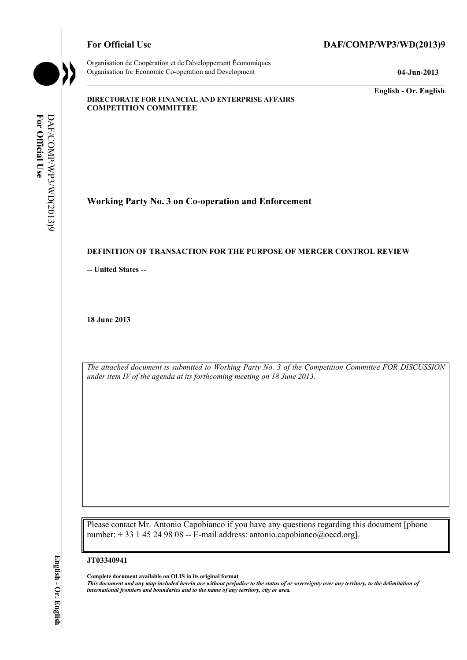Organisation de Coopération et de Développement Économiques Organisation for Economic Co-operation and Development **04-Jun-2013** 

# For Official Use DAF/COMP/WP3/WD(2013)9

**English - Or. English** 

#### **DIRECTORATE FOR FINANCIAL AND ENTERPRISE AFFAIRS COMPETITION COMMITTEE**

For Official Use DAF/COMP/WP3/WD(2013)9 DAF/COMP/WP3/WD(2013)9 **For Official Use** 

**Working Party No. 3 on Co-operation and Enforcement** 

### **DEFINITION OF TRANSACTION FOR THE PURPOSE OF MERGER CONTROL REVIEW**

 **-- United States --**

**18 June 2013** 

*The attached document is submitted to Working Party No. 3 of the Competition Committee FOR DISCUSSION under item IV of the agenda at its forthcoming meeting on 18 June 2013.* 

 Please contact Mr. Antonio Capobianco if you have any questions regarding this document [phone number: + 33 1 45 24 98 08 -- E-mail address: antonio.capobianco@oecd.org].

#### **JT03340941**

 **Complete document available on OLIS in its original format** 

 *This document and any map included herein are without prejudice to the status of or sovereignty over any territory, to the delimitation of international frontiers and boundaries and to the name of any territory, city or area.*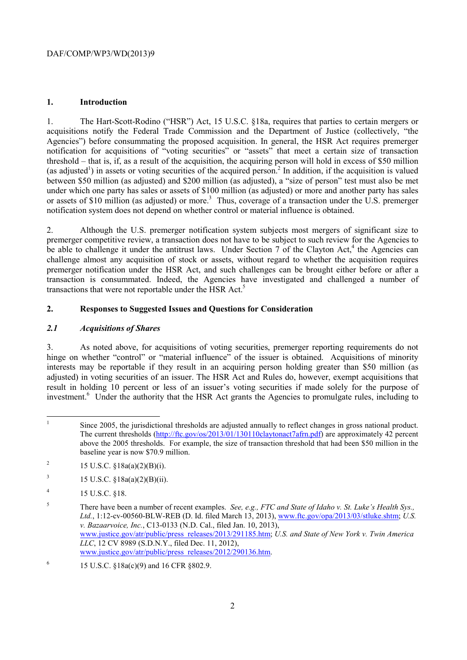## DAF/COMP/WP3/WD(2013)9

## **1. Introduction**

(as adjusted<sup>1</sup>) in assets or voting securities of the acquired person.<sup>2</sup> In addition, if the acquisition is valued 1. The Hart-Scott-Rodino ("HSR") Act, 15 U.S.C. §18a, requires that parties to certain mergers or acquisitions notify the Federal Trade Commission and the Department of Justice (collectively, "the Agencies") before consummating the proposed acquisition. In general, the HSR Act requires premerger notification for acquisitions of "voting securities" or "assets" that meet a certain size of transaction threshold – that is, if, as a result of the acquisition, the acquiring person will hold in excess of \$50 million between \$50 million (as adjusted) and \$200 million (as adjusted), a "size of person" test must also be met under which one party has sales or assets of \$100 million (as adjusted) or more and another party has sales or assets of \$10 million (as adjusted) or more.<sup>3</sup> Thus, coverage of a transaction under the  $\overline{U}$ .S. premerger notification system does not depend on whether control or material influence is obtained.

2. Although the U.S. premerger notification system subjects most mergers of significant size to premerger competitive review, a transaction does not have to be subject to such review for the Agencies to be able to challenge it under the antitrust laws. Under Section 7 of the Clayton Act,<sup>4</sup> the Agencies can challenge almost any acquisition of stock or assets, without regard to whether the acquisition requires premerger notification under the HSR Act, and such challenges can be brought either before or after a transaction is consummated. Indeed, the Agencies have investigated and challenged a number of transactions that were not reportable under the HSR Act.<sup>5</sup>

# **2. Responses to Suggested Issues and Questions for Consideration**

## *2.1 Acquisitions of Shares*

3. As noted above, for acquisitions of voting securities, premerger reporting requirements do not hinge on whether "control" or "material influence" of the issuer is obtained. Acquisitions of minority interests may be reportable if they result in an acquiring person holding greater than \$50 million (as adjusted) in voting securities of an issuer. The HSR Act and Rules do, however, exempt acquisitions that result in holding 10 percent or less of an issuer's voting securities if made solely for the purpose of investment.<sup>6</sup> Under the authority that the HSR Act grants the Agencies to promulgate rules, including to

- <sup>2</sup> 15 U.S.C.  $\S 18a(a)(2)(B)(i)$ .
- <sup>3</sup> 15 U.S.C.  $\frac{$18a(a)(2)(B)(ii)}{2}$ .
- $15 \text{ U.S.C. }$  \$18.

<sup>1</sup> Since 2005, the jurisdictional thresholds are adjusted annually to reflect changes in gross national product. The current thresholds (http://ftc.gov/os/2013/01/130110claytonact7afrn.pdf) are approximately 42 percent above the 2005 thresholds. For example, the size of transaction threshold that had been \$50 million in the baseline year is now \$70.9 million.

<sup>5</sup> There have been a number of recent examples. *See, e.g., FTC and State of Idaho v. St. Luke's Health Sys., Ltd.*, 1:12-cv-00560-BLW-REB (D. Id. filed March 13, 2013), www.ftc.gov/opa/2013/03/stluke.shtm; *U.S. v. Bazaarvoice, Inc.*, C13-0133 (N.D. Cal., filed Jan. 10, 2013), www.justice.gov/atr/public/press\_releases/2013/291185.htm; *U.S. and State of New York v. Twin America LLC*, 12 CV 8989 (S.D.N.Y., filed Dec. 11, 2012), www.justice.gov/atr/public/press\_releases/2012/290136.htm.

<sup>&</sup>lt;sup>6</sup> 15 U.S.C. §18a(c)(9) and 16 CFR §802.9.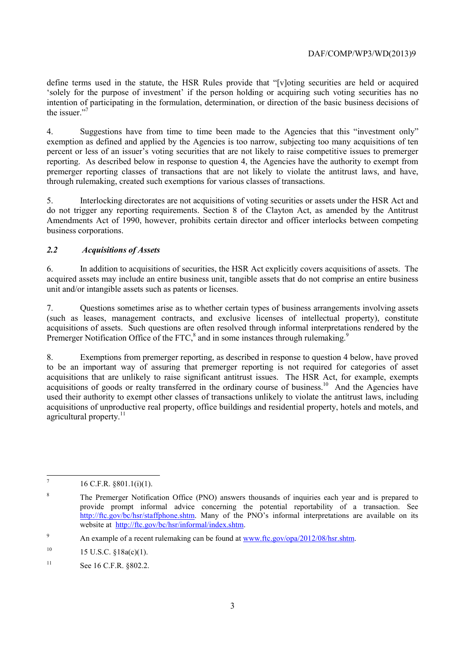'solely for the purpose of investment' if the person holding or acquiring such voting securities has no define terms used in the statute, the HSR Rules provide that "[v]oting securities are held or acquired intention of participating in the formulation, determination, or direction of the basic business decisions of the issuer."7

 exemption as defined and applied by the Agencies is too narrow, subjecting too many acquisitions of ten 4. Suggestions have from time to time been made to the Agencies that this "investment only" percent or less of an issuer's voting securities that are not likely to raise competitive issues to premerger reporting. As described below in response to question 4, the Agencies have the authority to exempt from premerger reporting classes of transactions that are not likely to violate the antitrust laws, and have, through rulemaking, created such exemptions for various classes of transactions.

5. Interlocking directorates are not acquisitions of voting securities or assets under the HSR Act and do not trigger any reporting requirements. Section 8 of the Clayton Act, as amended by the Antitrust Amendments Act of 1990, however, prohibits certain director and officer interlocks between competing business corporations.

# *2.2 Acquisitions of Assets*

6. In addition to acquisitions of securities, the HSR Act explicitly covers acquisitions of assets. The acquired assets may include an entire business unit, tangible assets that do not comprise an entire business unit and/or intangible assets such as patents or licenses.

Premerger Notification Office of the FTC,<sup>8</sup> and in some instances through rulemaking.<sup>9</sup> 7. Questions sometimes arise as to whether certain types of business arrangements involving assets (such as leases, management contracts, and exclusive licenses of intellectual property), constitute acquisitions of assets. Such questions are often resolved through informal interpretations rendered by the

8. Exemptions from premerger reporting, as described in response to question 4 below, have proved to be an important way of assuring that premerger reporting is not required for categories of asset acquisitions that are unlikely to raise significant antitrust issues. The HSR Act, for example, exempts acquisitions of goods or realty transferred in the ordinary course of business.<sup>10</sup> And the Agencies have used their authority to exempt other classes of transactions unlikely to violate the antitrust laws, including acquisitions of unproductive real property, office buildings and residential property, hotels and motels, and agricultural property. $11$ 

  $16$  C.F.R.  $$801.1(i)(1)$ .

 provide prompt informal advice concerning the potential reportability of a transaction. See <sup>8</sup> The Premerger Notification Office (PNO) answers thousands of inquiries each year and is prepared to http://ftc.gov/bc/hsr/staffphone.shtm. Many of the PNO's informal interpretations are available on its website at http://ftc.gov/bc/hsr/informal/index.shtm.

<sup>9</sup> An example of a recent rulemaking can be found at www.ftc.gov/opa/2012/08/hsr.shtm.

 $10$ 15 U.S.C. §18a(c)(1).

 $11$ See 16 C.F.R. §802.2.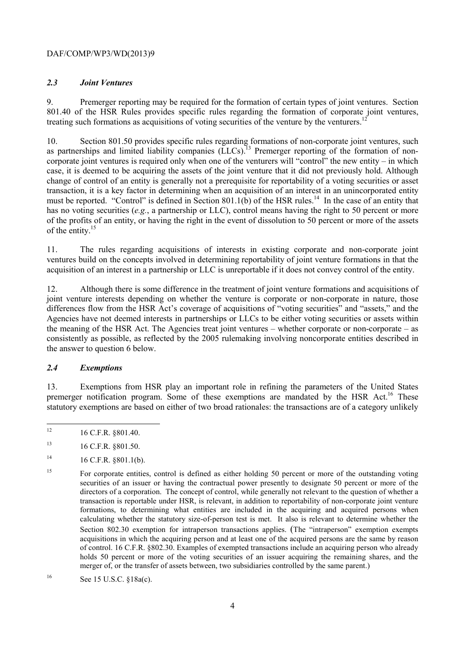## DAF/COMP/WP3/WD(2013)9

## *2.3 Joint Ventures*

9. Premerger reporting may be required for the formation of certain types of joint ventures. Section 801.40 of the HSR Rules provides specific rules regarding the formation of corporate joint ventures, treating such formations as acquisitions of voting securities of the venture by the venturers.<sup>1</sup>

must be reported. "Control" is defined in Section 801.1(b) of the HSR rules.<sup>14</sup> In the case of an entity that of the entity.<sup>15</sup> 10. Section 801.50 provides specific rules regarding formations of non-corporate joint ventures, such as partnerships and limited liability companies (LLCs).<sup>13</sup> Premerger reporting of the formation of noncorporate joint ventures is required only when one of the venturers will "control" the new entity – in which case, it is deemed to be acquiring the assets of the joint venture that it did not previously hold. Although change of control of an entity is generally not a prerequisite for reportability of a voting securities or asset transaction, it is a key factor in determining when an acquisition of an interest in an unincorporated entity has no voting securities (*e.g.*, a partnership or LLC), control means having the right to 50 percent or more of the profits of an entity, or having the right in the event of dissolution to 50 percent or more of the assets

11. The rules regarding acquisitions of interests in existing corporate and non-corporate joint ventures build on the concepts involved in determining reportability of joint venture formations in that the acquisition of an interest in a partnership or LLC is unreportable if it does not convey control of the entity.

 the meaning of the HSR Act. The Agencies treat joint ventures – whether corporate or non-corporate – as 12. Although there is some difference in the treatment of joint venture formations and acquisitions of joint venture interests depending on whether the venture is corporate or non-corporate in nature, those differences flow from the HSR Act's coverage of acquisitions of "voting securities" and "assets," and the Agencies have not deemed interests in partnerships or LLCs to be either voting securities or assets within consistently as possible, as reflected by the 2005 rulemaking involving noncorporate entities described in the answer to question 6 below.

# *2.4 Exemptions*

13. Exemptions from HSR play an important role in refining the parameters of the United States premerger notification program. Some of these exemptions are mandated by the HSR Act.<sup>16</sup> These statutory exemptions are based on either of two broad rationales: the transactions are of a category unlikely

 16 C.F.R. §801.40.

 $14$ 14 16 C.F.R. §801.1(b).

<sup>13 16</sup> C.F.R. §801.50.

<sup>15</sup>  securities of an issuer or having the contractual power presently to designate 50 percent or more of the directors of a corporation. The concept of control, while generally not relevant to the question of whether a of control. 16 C.F.R. §802.30. Examples of exempted transactions include an acquiring person who already 15 For corporate entities, control is defined as either holding 50 percent or more of the outstanding voting transaction is reportable under HSR, is relevant, in addition to reportability of non-corporate joint venture formations, to determining what entities are included in the acquiring and acquired persons when calculating whether the statutory size-of-person test is met. It also is relevant to determine whether the Section 802.30 exemption for intraperson transactions applies. (The "intraperson" exemption exempts acquisitions in which the acquiring person and at least one of the acquired persons are the same by reason holds 50 percent or more of the voting securities of an issuer acquiring the remaining shares, and the merger of, or the transfer of assets between, two subsidiaries controlled by the same parent.)

<sup>16</sup> See 15 U.S.C. §18a(c).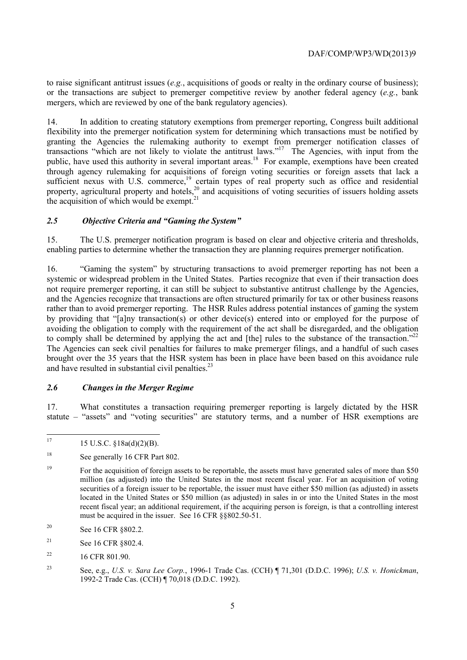to raise significant antitrust issues (*e.g.*, acquisitions of goods or realty in the ordinary course of business); or the transactions are subject to premerger competitive review by another federal agency (*e.g.*, bank mergers, which are reviewed by one of the bank regulatory agencies).

 transactions "which are not likely to violate the antitrust laws."17 The Agencies, with input from the 14. In addition to creating statutory exemptions from premerger reporting, Congress built additional flexibility into the premerger notification system for determining which transactions must be notified by granting the Agencies the rulemaking authority to exempt from premerger notification classes of public, have used this authority in several important areas.<sup>18</sup> For example, exemptions have been created through agency rulemaking for acquisitions of foreign voting securities or foreign assets that lack a sufficient nexus with U.S. commerce,<sup>19</sup> certain types of real property such as office and residential property, agricultural property and hotels,<sup>20</sup> and acquisitions of voting securities of issuers holding assets the acquisition of which would be exempt. $21$ 

### *2.5 Objective Criteria and "Gaming the System"*

15. The U.S. premerger notification program is based on clear and objective criteria and thresholds, enabling parties to determine whether the transaction they are planning requires premerger notification.

to comply shall be determined by applying the act and [the] rules to the substance of the transaction."<sup>22</sup> and have resulted in substantial civil penalties.<sup>23</sup> 16. "Gaming the system" by structuring transactions to avoid premerger reporting has not been a systemic or widespread problem in the United States. Parties recognize that even if their transaction does not require premerger reporting, it can still be subject to substantive antitrust challenge by the Agencies, and the Agencies recognize that transactions are often structured primarily for tax or other business reasons rather than to avoid premerger reporting. The HSR Rules address potential instances of gaming the system by providing that "[a]ny transaction(s) or other device(s) entered into or employed for the purpose of avoiding the obligation to comply with the requirement of the act shall be disregarded, and the obligation The Agencies can seek civil penalties for failures to make premerger filings, and a handful of such cases brought over the 35 years that the HSR system has been in place have been based on this avoidance rule

#### *2.6 Changes in the Merger Regime*

17. What constitutes a transaction requiring premerger reporting is largely dictated by the HSR statute – "assets" and "voting securities" are statutory terms, and a number of HSR exemptions are

- 20 See 16 CFR §802.2.
- <sup>21</sup> See 16 CFR §802.4.
- $22$ 16 CFR 801.90.

 $\overline{a}$ 17 15 U.S.C. §18a(d)(2)(B).

<sup>&</sup>lt;sup>18</sup> See generally 16 CFR Part 802.

 million (as adjusted) into the United States in the most recent fiscal year. For an acquisition of voting recent fiscal year; an additional requirement, if the acquiring person is foreign, is that a controlling interest <sup>19</sup> For the acquisition of foreign assets to be reportable, the assets must have generated sales of more than \$50 securities of a foreign issuer to be reportable, the issuer must have either \$50 million (as adjusted) in assets located in the United States or \$50 million (as adjusted) in sales in or into the United States in the most must be acquired in the issuer. See 16 CFR §§802.50-51.

<sup>23</sup> See, e.g., *U.S. v. Sara Lee Corp.*, 1996-1 Trade Cas. (CCH) ¶ 71,301 (D.D.C. 1996); *U.S. v. Honickman*, 1992-2 Trade Cas. (CCH) ¶ 70,018 (D.D.C. 1992).